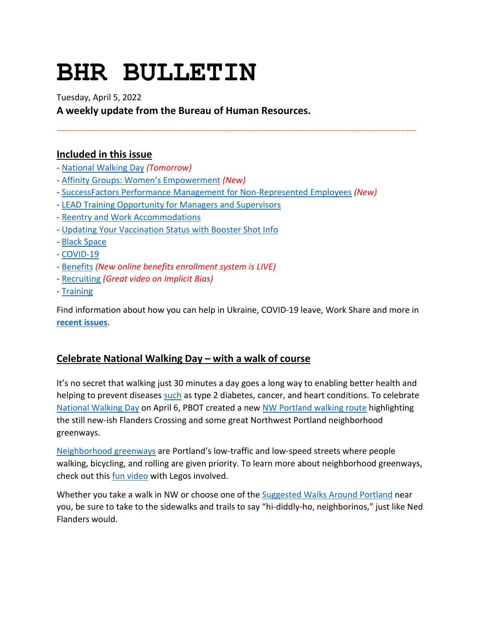# **BHR BULLETIN**

Tuesday, April 5, 2022

**A weekly update from the Bureau of Human Resources.**

**----------------------------------------------------------------------------------------------------------------------------------------**

# **Included in this issue**

- - [National Walking Day](#page-0-0) *(Tomorrow)*
- - [Affinity Groups: Women's Empowerment](#page-1-0) *(New)*
- - [SuccessFactors Performance Management for Non-Represented Employees](#page-2-0) *(New)*
- - [LEAD Training Opportunity for Managers and Supervisors](#page-3-0)
- - [Reentry and Work Accommodations](#page-3-1)
- - [Updating Your Vaccination Status with Booster Shot Info](#page-4-0)
- - [Black Space](#page-4-1)
- - [COVID-19](#page-4-2)
- - [Benefits](#page-7-0) *(New online benefits enrollment system is LIVE)*
- - [Recruiting](#page-8-0) *(Great video on Implicit Bias)*
- - [Training](#page-9-0)

Find information about how you can help in Ukraine, COVID-19 leave, Work Share and more in **[recent issues](https://www.portlandoregon.gov/bhr/81102)**.

# <span id="page-0-0"></span>**Celebrate National Walking Day – with a walk of course**

It's no secret that walking just 30 minutes a day goes a long way to enabling better health and helping to prevent diseases [such](https://www.portland.gov/transportation/what-are-neighborhood-greenways) as type 2 diabetes, cancer, and heart conditions. To celebrate [National Walking Day](https://nationaltoday.com/national-walking-day/) on April 6, PBOT created a new [NW Portland walking route](https://www.portland.gov/transportation/walking-biking-transit-safety/suggested-walks#toc-ned-flanders-nw-experience-walk) highlighting the still new-ish Flanders Crossing and some great Northwest Portland neighborhood greenways.

[Neighborhood greenways](https://www.portland.gov/transportation/what-are-neighborhood-greenways) are Portland's low-traffic and low-speed streets where people walking, bicycling, and rolling are given priority. To learn more about neighborhood greenways, check out this *fun video* with Legos involved.

Whether you take a walk in NW or choose one of the [Suggested Walks Around Portland](https://www.portland.gov/transportation/walking-biking-transit-safety/suggested-walks) near you, be sure to take to the sidewalks and trails to say "hi-diddly-ho, neighborinos," just like Ned Flanders would.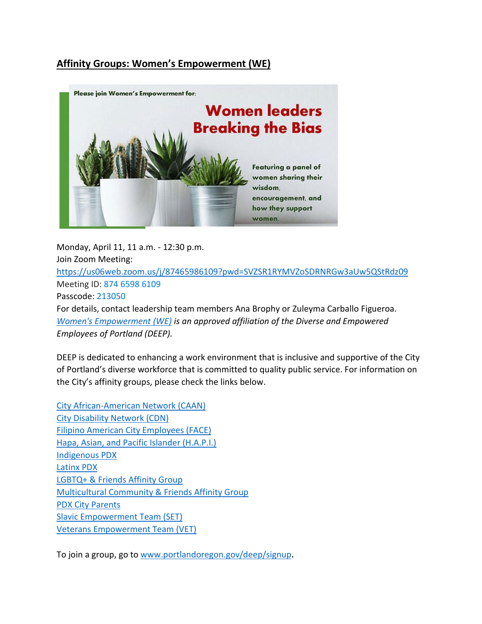# <span id="page-1-0"></span>**Affinity Groups: Women's Empowerment (WE)**



Monday, April 11, 11 a.m. - 12:30 p.m. Join Zoom Meeting: <https://us06web.zoom.us/j/87465986109?pwd=SVZSR1RYMVZoSDRNRGw3aUw5QStRdz09> Meeting ID: 874 6598 6109 Passcode: 213050 For details, contact leadership team members Ana Brophy or Zuleyma Carballo Figueroa. *[Women's Empowerment \(WE\)](https://www.portlandoregon.gov/50894) is an approved affiliation of the Diverse and Empowered Employees of Portland (DEEP).*

DEEP is dedicated to enhancing a work environment that is inclusive and supportive of the City of Portland's diverse workforce that is committed to quality public service. For information on the City's affinity groups, please check the links below.

[City African-American Network \(CAAN\)](https://www.portlandoregon.gov/50902) [City Disability Network \(CDN\)](https://www.portlandoregon.gov/81759) [Filipino American City Employees \(FACE\)](https://www.portlandoregon.gov/50893) [Hapa, Asian, and Pacific Islander \(H.A.P.I.\)](https://www.portlandoregon.gov/71327) [Indigenous PDX](https://www.portlandoregon.gov/81657) [Latinx PDX](https://www.portlandoregon.gov/50897) [LGBTQ+ & Friends Affinity Group](https://www.portlandoregon.gov/50896) [Multicultural Community & Friends Affinity Group](https://www.portlandoregon.gov/81640) [PDX City Parents](https://www.portlandoregon.gov/50895) [Slavic Empowerment Team \(SET\)](https://www.portlandoregon.gov/70770) [Veterans Empowerment Team \(VET\)](https://www.portlandoregon.gov/50901)

To join a group, go to [www.portlandoregon.gov/deep/signup.](http://www.portlandoregon.gov/deep/signup)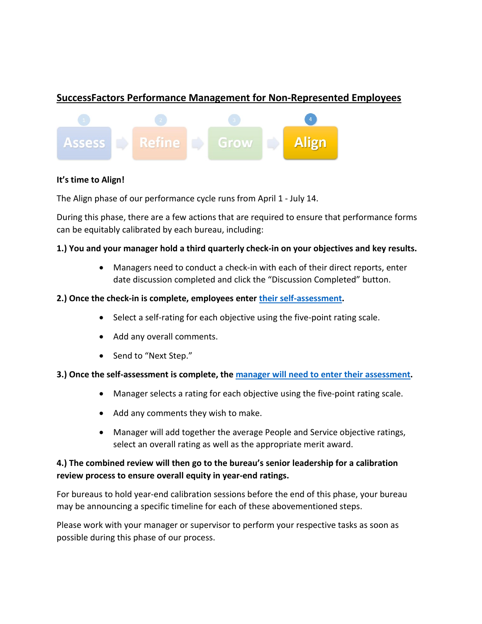# <span id="page-2-0"></span>**SuccessFactors Performance Management for Non-Represented Employees**



## **It's time to Align!**

The Align phase of our performance cycle runs from April 1 - July 14.

During this phase, there are a few actions that are required to ensure that performance forms can be equitably calibrated by each bureau, including:

## **1.) You and your manager hold a third quarterly check-in on your objectives and key results.**

• Managers need to conduct a check-in with each of their direct reports, enter date discussion completed and click the "Discussion Completed" button.

## **2.) Once the check-in is complete, employees enter [their self-assessment.](https://www.youtube.com/watch?v=tNG9-r8GYZ0)**

- Select a self-rating for each objective using the five-point rating scale.
- Add any overall comments.
- Send to "Next Step."

## **3.) Once the self-assessment is complete, the [manager will need to enter their assessment.](https://www.youtube.com/watch?v=IGGClEgPQTU)**

- Manager selects a rating for each objective using the five-point rating scale.
- Add any comments they wish to make.
- Manager will add together the average People and Service objective ratings, select an overall rating as well as the appropriate merit award.

# **4.) The combined review will then go to the bureau's senior leadership for a calibration review process to ensure overall equity in year-end ratings.**

For bureaus to hold year-end calibration sessions before the end of this phase, your bureau may be announcing a specific timeline for each of these abovementioned steps.

Please work with your manager or supervisor to perform your respective tasks as soon as possible during this phase of our process.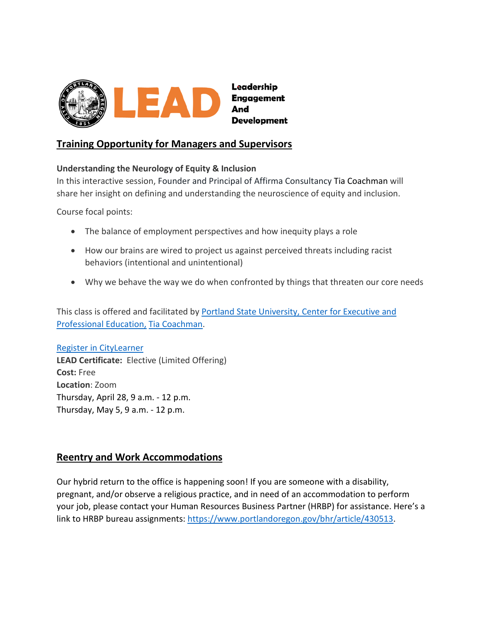

# <span id="page-3-0"></span>**Training Opportunity for Managers and Supervisors**

## **Understanding the Neurology of Equity & Inclusion**

In this interactive session, Founder and Principal of Affirma Consultancy Tia Coachman will share her insight on defining and understanding the neuroscience of equity and inclusion.

Course focal points:

- The balance of employment perspectives and how inequity plays a role
- How our brains are wired to project us against perceived threats including racist behaviors (intentional and unintentional)
- Why we behave the way we do when confronted by things that threaten our core needs

This class is offered and facilitated by Portland State University, Center for Executive and [Professional Education,](https://t.e2ma.net/click/neicxi/rpl5vfb/366q4eb) [Tia Coachman.](https://www.pdx.edu/professional-education/profile/tia-coachman)

#### [Register in CityLearner](https://sts.portlandoregon.gov/adfs/ls/?SAMLRequest=hZLLbtswEEV%2FhZi9XrRjOYTlwIkRxEAfaq120U3BUiOHAEWqHCpu%2Fr6S7DTJxt1wQd6Ze%2BcMVzd%2FWsOe0JN2toAsToGhVa7W9lDAt%2Bo%2BWsLNekWyNbwTmz482q%2F4u0cKbCi0JE4vBfTeCidJk7CyRRJBif3m4wfB41R03gWnnAG2HQq1lWEyewyhI5EkFCjunA9G2tp5PDgbH9xTIuuGEkMJsHvnFU7eBTTSEALbbQv4KRvO8yxXkeTLPJrnOI%2Bul%2FliOBZyVqfzxQzlICXqcWcpSBsK4CnnUTqLOK%2ByXGSZuErj69niB7DynPJW29P0l0b6dRKReKiqMio%2F7ytg318oDgI4MxOTu38L63JjSYR%2B5APrFz7H4zGmXikkaqQKzlOsXJsoHZ5dM4JbJW%2B9%2Fm3r09B8ty2d0eqZbYxxxzuPMmABwfc4YW1luBxnvNF11ExS0Y0TUkAbgO3Lsf%2BXXhrdaPSv6%2FxvXEjW58Tvf9T6Lw%3D%3D&RelayState=%2Fsf%2Flearning%3FdestUrl%3Dhttps%253a%252f%252fcityofport%252eplateau%252ecom%252flearning%252fuser%252fdeeplink%255fredirect%252ejsp%253flinkId%253dITEM%255fDETAILS%2526componentID%253d39004%2526componentTypeID%253dILT%2526revisionDate%253d1638564360000%2526fromSF%253dY&SigAlg=http%3A%2F%2Fwww.w3.org%2F2000%2F09%2Fxmldsig%23rsa-sha1&Signature=V%2FyajHzM0ykYKc2hnV2VlaSyGIx4J3TkdeAs%2FerZnN341QOBIXsT793wuOUtjPuoTUPIyOoHLKkXjQGlqW8VPvP9xw3LBsvrcSlSeLtUlxY1XYlm%2B%2Fc%2FlprU0zxwh%2BEueoRyUI9RpffO2%2BtmhYK6oj8t5qVrpIF6gAFR32oG45o%3D)

**LEAD Certificate:** Elective (Limited Offering) **Cost:** Free **Location**: Zoom Thursday, April 28, 9 a.m. - 12 p.m. Thursday, May 5, 9 a.m. - 12 p.m.

# <span id="page-3-1"></span>**Reentry and Work Accommodations**

Our hybrid return to the office is happening soon! If you are someone with a disability, pregnant, and/or observe a religious practice, and in need of an accommodation to perform your job, please contact your Human Resources Business Partner (HRBP) for assistance. Here's a link to HRBP bureau assignments: [https://www.portlandoregon.gov/bhr/article/430513.](https://www.portlandoregon.gov/bhr/article/430513)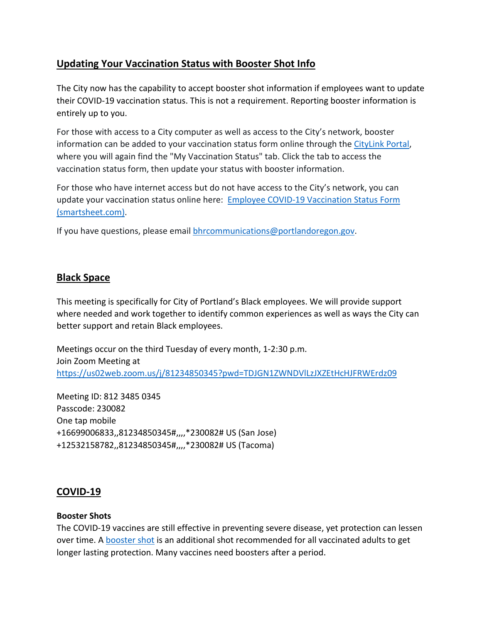# <span id="page-4-0"></span>**Updating Your Vaccination Status with Booster Shot Info**

The City now has the capability to accept booster shot information if employees want to update their COVID-19 vaccination status. This is not a requirement. Reporting booster information is entirely up to you.

For those with access to a City computer as well as access to the City's network, booster information can be added to your vaccination status form online through th[e CityLink Portal,](https://www.portlandoregon.gov/employee/50542) where you will again find the "My Vaccination Status" tab. Click the tab to access the vaccination status form, then update your status with booster information.

For those who have internet access but do not have access to the City's network, you can update your vaccination status online here: [Employee COVID-19 Vaccination Status Form](https://app.smartsheet.com/b/form/1630264465a1445bae728de4615f96a7)  [\(smartsheet.com\).](https://app.smartsheet.com/b/form/1630264465a1445bae728de4615f96a7)

If you have questions, please email [bhrcommunications@portlandoregon.gov.](mailto:bhrcommunications@portlandoregon.gov)

# <span id="page-4-1"></span>**Black Space**

This meeting is specifically for City of Portland's Black employees. We will provide support where needed and work together to identify common experiences as well as ways the City can better support and retain Black employees.

Meetings occur on the third Tuesday of every month, 1-2:30 p.m. Join Zoom Meeting at <https://us02web.zoom.us/j/81234850345?pwd=TDJGN1ZWNDVlLzJXZEtHcHJFRWErdz09>

Meeting ID: 812 3485 0345 Passcode: 230082 One tap mobile +16699006833,,81234850345#,,,,\*230082# US (San Jose) +12532158782,,81234850345#,,,,\*230082# US (Tacoma)

# <span id="page-4-2"></span>**COVID-19**

## **Booster Shots**

The COVID-19 vaccines are still effective in preventing severe disease, yet protection can lessen over time. A [booster shot](https://www.cdc.gov/coronavirus/2019-ncov/vaccines/booster-shot.html) is an additional shot recommended for all vaccinated adults to get longer lasting protection. Many vaccines need boosters after a period.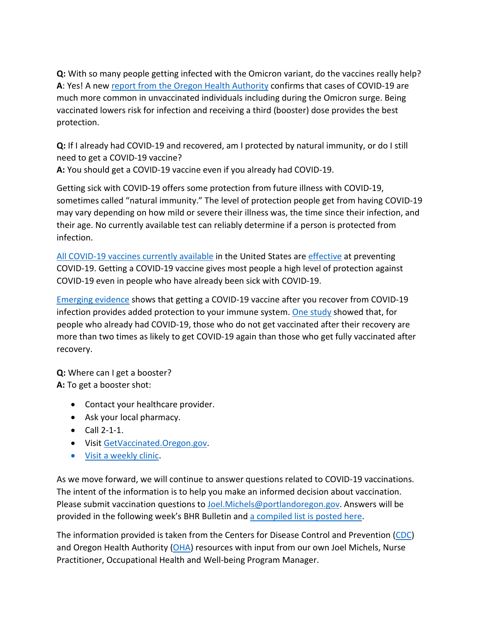**Q:** With so many people getting infected with the Omicron variant, do the vaccines really help? **A**: Yes! A new [report from the Oregon Health Authority](https://covidblog.oregon.gov/booster-shots-highlighted-in-new-breakthrough-case-report/?utm_medium=email&utm_source=govdelivery) confirms that cases of COVID-19 are much more common in unvaccinated individuals including during the Omicron surge. Being vaccinated lowers risk for infection and receiving a third (booster) dose provides the best protection.

**Q:** If I already had COVID-19 and recovered, am I protected by natural immunity, or do I still need to get a COVID-19 vaccine?

**A:** You should get a COVID-19 vaccine even if you already had COVID-19.

Getting sick with COVID-19 offers some protection from future illness with COVID-19, sometimes called "natural immunity." The level of protection people get from having COVID-19 may vary depending on how mild or severe their illness was, the time since their infection, and their age. No currently available test can reliably determine if a person is protected from infection.

[All COVID-19 vaccines currently available](https://www.cdc.gov/coronavirus/2019-ncov/vaccines/different-vaccines.html) in the United States ar[e effective](https://www.cdc.gov/coronavirus/2019-ncov/vaccines/effectiveness/index.html) at preventing COVID-19. Getting a COVID-19 vaccine gives most people a high level of protection against COVID-19 even in people who have already been sick with COVID-19.

[Emerging evidence](https://www.cdc.gov/coronavirus/2019-ncov/science/science-briefs/vaccine-induced-immunity.html#anchor_1635540493225) shows that getting a COVID-19 vaccine after you recover from COVID-19 infection provides added protection to your immune system. [One study](https://www.cdc.gov/mmwr/volumes/70/wr/mm7032e1.htm?s_cid=mm7032e1_e&ACSTrackingID=USCDC_921-DM63289&ACSTrackingLabel=MMWR%20Early%20Release%20-%20Vol.%2070%2C%20August%206%2C%202021&deliveryName=USCDC_921-DM63289) showed that, for people who already had COVID-19, those who do not get vaccinated after their recovery are more than two times as likely to get COVID-19 again than those who get fully vaccinated after recovery.

**Q:** Where can I get a booster?

**A:** To get a booster shot:

- Contact your healthcare provider.
- Ask your local pharmacy.
- Call 2-1-1.
- Visi[t GetVaccinated.Oregon.gov.](https://getvaccinated.oregon.gov/#/)
- [Visit a weekly clinic.](https://www.multco.us/novel-coronavirus-covid-19/upcoming-covid-19-vaccination-clinics)

As we move forward, we will continue to answer questions related to COVID-19 vaccinations. The intent of the information is to help you make an informed decision about vaccination. Please submit vaccination questions to [Joel.Michels@portlandoregon.gov.](mailto:Joel.Michels@portlandoregon.gov) Answers will be provided in the following week's BHR Bulletin an[d a compiled list is posted here.](https://www.portlandoregon.gov/bhr/article/797240)

The information provided is taken from the Centers for Disease Control and Prevention [\(CDC\)](https://www.cdc.gov/coronavirus/2019-ncov/vaccines/index.html) and Oregon Health Authority  $(OHA)$  resources with input from our own Joel Michels, Nurse Practitioner, Occupational Health and Well-being Program Manager.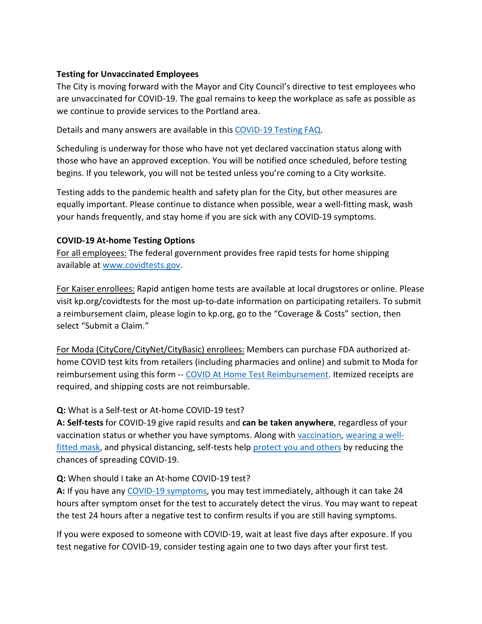## **Testing for Unvaccinated Employees**

The City is moving forward with the Mayor and City Council's directive to test employees who are unvaccinated for COVID-19. The goal remains to keep the workplace as safe as possible as we continue to provide services to the Portland area.

Details and many answers are available in this [COVID-19 Testing FAQ.](https://www.portland.gov/bhr/covid-testing)

Scheduling is underway for those who have not yet declared vaccination status along with those who have an approved exception. You will be notified once scheduled, before testing begins. If you telework, you will not be tested unless you're coming to a City worksite.

Testing adds to the pandemic health and safety plan for the City, but other measures are equally important. Please continue to distance when possible, wear a well-fitting mask, wash your hands frequently, and stay home if you are sick with any COVID-19 symptoms.

## **COVID-19 At-home Testing Options**

For all employees: The federal government provides free rapid tests for home shipping available at [www.covidtests.gov.](http://www.covidtests.gov/)

For Kaiser enrollees: Rapid antigen home tests are available at local drugstores or online. Please visit kp.org/covidtests for the most up-to-date information on participating retailers. To submit a reimbursement claim, please login to kp.org, go to the "Coverage & Costs" section, then select "Submit a Claim."

For Moda (CityCore/CityNet/CityBasic) enrollees: Members can purchase FDA authorized athome COVID test kits from retailers (including pharmacies and online) and submit to Moda for reimbursement using this form -- [COVID At Home Test Reimbursement.](https://www.modahealth.com/-/media/modahealth/site/shared/forms/ModaHealth-OTC-COVID-19-AtHomeTest-Medical-MemberReimbursementForm.pdf) Itemized receipts are required, and shipping costs are not reimbursable.

## **Q:** What is a Self-test or At-home COVID-19 test?

**A: Self-tests** for COVID-19 give rapid results and **can be taken anywhere**, regardless of your vaccination status or whether you have symptoms. Along with [vaccination,](https://www.cdc.gov/coronavirus/2019-ncov/vaccines/your-vaccination.html) [wearing a well](https://www.cdc.gov/coronavirus/2019-ncov/prevent-getting-sick/masks.html)[fitted mask,](https://www.cdc.gov/coronavirus/2019-ncov/prevent-getting-sick/masks.html) and physical distancing, self-tests help [protect you and others](https://www.cdc.gov/coronavirus/2019-ncov/prevent-getting-sick/prevention.html) by reducing the chances of spreading COVID-19.

## **Q:** When should I take an At-home COVID-19 test?

**A:** If you have any [COVID-19 symptoms,](https://www.cdc.gov/coronavirus/2019-ncov/symptoms-testing/symptoms.html) you may test immediately, although it can take 24 hours after symptom onset for the test to accurately detect the virus. You may want to repeat the test 24 hours after a negative test to confirm results if you are still having symptoms.

If you were exposed to someone with COVID-19, wait at least five days after exposure. If you test negative for COVID-19, consider testing again one to two days after your first test.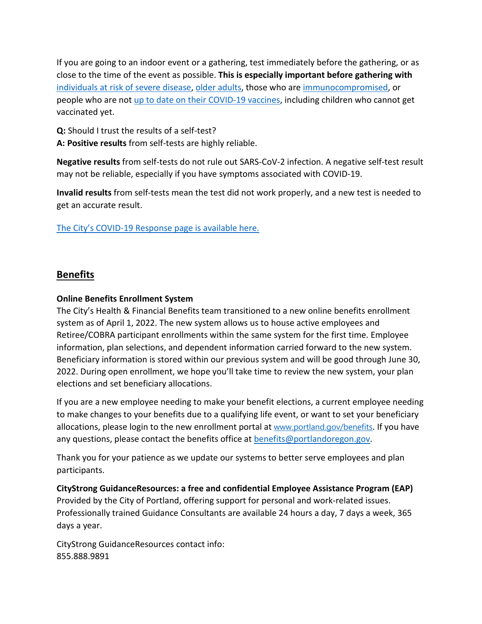If you are going to an indoor event or a gathering, test immediately before the gathering, or as close to the time of the event as possible. **This is especially important before gathering with** [individuals at risk of severe disease,](https://www.cdc.gov/coronavirus/2019-ncov/need-extra-precautions/people-with-medical-conditions.html) [older adults,](https://www.cdc.gov/aging/covid19/covid19-older-adults.html) those who are [immunocompromised,](https://www.cdc.gov/coronavirus/2019-ncov/need-extra-precautions/people-with-medical-conditions.html#MedicalConditionsAdults) or people who are not [up to date on their COVID-19 vaccines,](https://www.cdc.gov/coronavirus/2019-ncov/vaccines/stay-up-to-date.html) including children who cannot get vaccinated yet.

**Q:** Should I trust the results of a self-test?

**A: Positive results** from self-tests are highly reliable.

**Negative results** from self-tests do not rule out SARS-CoV-2 infection. A negative self-test result may not be reliable, especially if you have symptoms associated with COVID-19.

**Invalid results** from self-tests mean the test did not work properly, and a new test is needed to get an accurate result.

[The City's COVID-19 Response page is available here.](https://www.portlandoregon.gov/bhr/index.cfm?&c=81055)

# <span id="page-7-0"></span>**Benefits**

#### **Online Benefits Enrollment System**

The City's Health & Financial Benefits team transitioned to a new online benefits enrollment system as of April 1, 2022. The new system allows us to house active employees and Retiree/COBRA participant enrollments within the same system for the first time. Employee information, plan selections, and dependent information carried forward to the new system. Beneficiary information is stored within our previous system and will be good through June 30, 2022. During open enrollment, we hope you'll take time to review the new system, your plan elections and set beneficiary allocations.

If you are a new employee needing to make your benefit elections, a current employee needing to make changes to your benefits due to a qualifying life event, or want to set your beneficiary allocations, please login to the new enrollment portal at [www.portland.gov/benefits](https://www.portland.gov/benefits). If you have any questions, please contact the benefits office at [benefits@portlandoregon.gov.](mailto:benefits@portlandoregon.gov)

Thank you for your patience as we update our systems to better serve employees and plan participants.

**CityStrong GuidanceResources: a free and confidential Employee Assistance Program (EAP)**  Provided by the City of Portland, offering support for personal and work-related issues. Professionally trained Guidance Consultants are available 24 hours a day, 7 days a week, 365 days a year.

CityStrong GuidanceResources contact info: 855.888.9891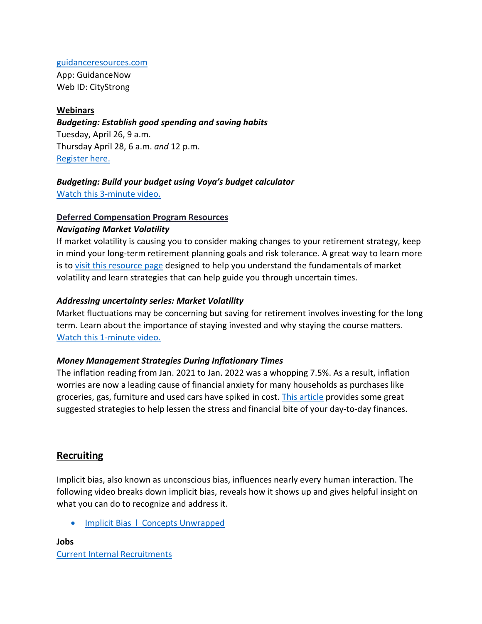#### [guidanceresources.com](https://www.guidanceresources.com/groWeb/login/login.xhtml)

App: GuidanceNow Web ID: CityStrong

## **Webinars**

*Budgeting: Establish good spending and saving habits* Tuesday, April 26, 9 a.m. Thursday April 28, 6 a.m. *and* 12 p.m. [Register here.](https://voyafa.zoom.us/webinar/register/WN_jalwtC9vQGa3Bf00BMP-Pw)

# *Budgeting: Build your budget using Voya's budget calculator*

[Watch this 3-minute video.](https://www.voya.com/page/on-demand/budget-calculator)

# **Deferred Compensation Program Resources**

## *Navigating Market Volatility*

If market volatility is causing you to consider making changes to your retirement strategy, keep in mind your long-term retirement planning goals and risk tolerance. A great way to learn more is to [visit this resource page](https://www.voya.com/page/navigating-market-volatility) designed to help you understand the fundamentals of market volatility and learn strategies that can help guide you through uncertain times.

## *Addressing uncertainty series: Market Volatility*

Market fluctuations may be concerning but saving for retirement involves investing for the long term. Learn about the importance of staying invested and why staying the course matters. [Watch this 1-minute video.](https://www.voya.com/page/on-demand/addressing-uncertainty-series-market-volatility)

## *Money Management Strategies During Inflationary Times*

The inflation reading from Jan. 2021 to Jan. 2022 was a whopping 7.5%. As a result, inflation worries are now a leading cause of financial anxiety for many households as purchases like groceries, gas, furniture and used cars have spiked in cost. [This article](https://blog.voya.com/financial-decisions/money-management-strategies-during-inflationary-times-nc) provides some great suggested strategies to help lessen the stress and financial bite of your day-to-day finances.

# <span id="page-8-0"></span>**Recruiting**

Implicit bias, also known as unconscious bias, influences nearly every human interaction. The following video breaks down implicit bias, reveals how it shows up and gives helpful insight on what you can do to recognize and address it.

• [Implicit Bias l Concepts Unwrapped](https://www.youtube.com/watch?v=OoBvzI-YZf4)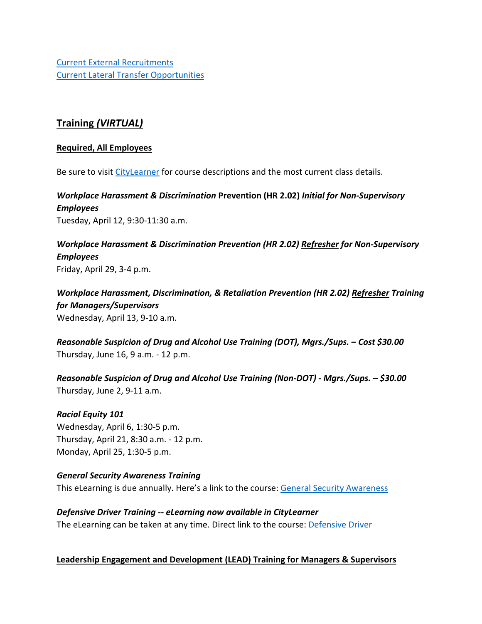[Current External Recruitments](https://www.governmentjobs.com/careers/portlandor?) [Current Lateral Transfer Opportunities](https://www.governmentjobs.com/careers/portlandor/transferjobs)

# <span id="page-9-0"></span>**Training** *(VIRTUAL)*

#### **Required, All Employees**

Be sure to visit [CityLearner](https://www.portlandoregon.gov/sf) for course descriptions and the most current class details.

*Workplace Harassment & Discrimination* **Prevention (HR 2.02)** *Initial for Non-Supervisory Employees* Tuesday, April 12, 9:30-11:30 a.m.

*Workplace Harassment & Discrimination Prevention (HR 2.02) Refresher for Non-Supervisory Employees* Friday, April 29, 3-4 p.m.

*Workplace Harassment, Discrimination, & Retaliation Prevention (HR 2.02) Refresher Training for Managers/Supervisors*  Wednesday, April 13, 9-10 a.m.

*Reasonable Suspicion of Drug and Alcohol Use Training (DOT), Mgrs./Sups. – Cost \$30.00* Thursday, June 16, 9 a.m. - 12 p.m.

*Reasonable Suspicion of Drug and Alcohol Use Training (Non-DOT) - Mgrs./Sups. – \$30.00* Thursday, June 2, 9-11 a.m.

#### *Racial Equity 101*

Wednesday, April 6, 1:30-5 p.m. Thursday, April 21, 8:30 a.m. - 12 p.m. Monday, April 25, 1:30-5 p.m.

#### *General Security Awareness Training*

This eLearning is due annually. Here's a link to the course: [General Security Awareness](https://performancemanager4.successfactors.com/sf/learning?destUrl=https%3a%2f%2fcityofport%2eplateau%2ecom%2flearning%2fuser%2fdeeplink%5fredirect%2ejsp%3flinkId%3dITEM%5fDETAILS%26componentID%3dLMS61011035%26componentTypeID%3dELRN%26revisionDate%3d1638978720000%26fromSF%3dY&company=cityofport) 

*Defensive Driver Training -- eLearning now available in CityLearner* The eLearning can be taken at any time. Direct link to the course: [Defensive Driver](https://cityofport.plateau.com/learning/user/common/viewItemDetails.do?OWASP_CSRFTOKEN=5M1O-5ANN-0TLU-3QOL-OISM-MYFY-1V3A-L7M9&componentID=LMS61011177&componentTypeID=ELRN&fromSF=Y&revisionDate=1607576040000&menuGroup=Learning&menuItem=Cur&fromDeepLink=true&hideItemDetailsBackLink=true)

#### **Leadership Engagement and Development (LEAD) Training for Managers & Supervisors**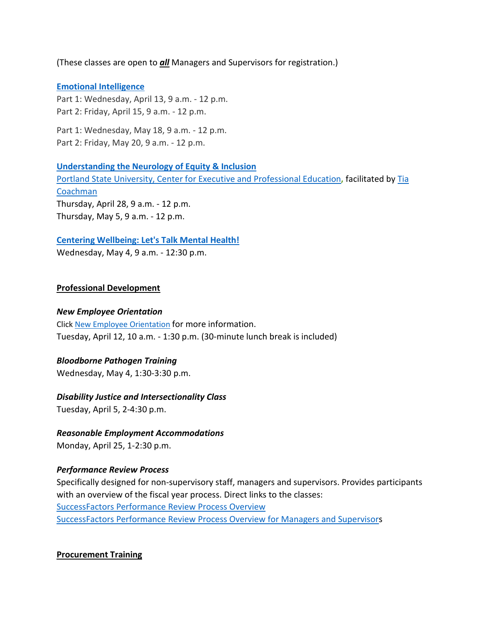(These classes are open to *all* Managers and Supervisors for registration.)

#### **[Emotional Intelligence](https://performancemanager4.successfactors.com/sf/learning?destUrl=https%3a%2f%2fcityofport%2eplateau%2ecom%2flearning%2fuser%2fdeeplink%5fredirect%2ejsp%3flinkId%3dITEM%5fDETAILS%26componentID%3d29034%26componentTypeID%3dILT%26revisionDate%3d1621278240000%26fromSF%3dY&company=cityofport)**

Part 1: Wednesday, April 13, 9 a.m. - 12 p.m. Part 2: Friday, April 15, 9 a.m. - 12 p.m.

Part 1: Wednesday, May 18, 9 a.m. - 12 p.m. Part 2: Friday, May 20, 9 a.m. - 12 p.m.

**[Understanding the Neurology of Equity & Inclusion](https://performancemanager4.successfactors.com/sf/learning?destUrl=https%3a%2f%2fcityofport%2eplateau%2ecom%2flearning%2fuser%2fdeeplink%5fredirect%2ejsp%3flinkId%3dITEM%5fDETAILS%26componentID%3d39004%26componentTypeID%3dILT%26revisionDate%3d1638564360000%26fromSF%3dY&company=cityofport)**

[Portland State University, Center for Executive and Professional Education](https://www.pdx.edu/professional-education/)**,** facilitated by [Tia](https://www.pdx.edu/professional-education/profile/tia-coachman)  [Coachman](https://www.pdx.edu/professional-education/profile/tia-coachman)  Thursday, April 28, 9 a.m. - 12 p.m. Thursday, May 5, 9 a.m. - 12 p.m.

## **[Centering Wellbeing: Let's Talk Mental Health!](https://performancemanager4.successfactors.com/sf/learning?destUrl=https%3a%2f%2fcityofport%2eplateau%2ecom%2flearning%2fuser%2fdeeplink%5fredirect%2ejsp%3flinkId%3dITEM%5fDETAILS%26componentID%3d30004%26componentTypeID%3dILT%26revisionDate%3d1625183220000%26fromSF%3dY&company=cityofport)**

Wednesday, May 4, 9 a.m. - 12:30 p.m.

## **Professional Development**

#### *New Employee Orientation*

Click [New Employee Orientation](https://www.portlandoregon.gov/bhr/77721) for more information. Tuesday, April 12, 10 a.m. - 1:30 p.m. (30-minute lunch break is included)

#### *Bloodborne Pathogen Training*

Wednesday, May 4, 1:30-3:30 p.m.

#### *Disability Justice and Intersectionality Class*

Tuesday, April 5, 2-4:30 p.m.

## *Reasonable Employment Accommodations*

Monday, April 25, 1-2:30 p.m.

## *Performance Review Process*

Specifically designed for non-supervisory staff, managers and supervisors. Provides participants with an overview of the fiscal year process. Direct links to the classes: [SuccessFactors Performance Review Process Overview](https://cityofport.plateau.com/learning/user/common/viewItemDetails.do?OWASP_CSRFTOKEN=DU90-LX7U-MJFA-R3RR-74UK-2I97-WO9L-P1RW&componentID=29037&componentTypeID=ELRN&fromSF=Y&revisionDate=1621295700000&menuGroup=Learning&menuItem=Cur&fromDeepLink=true&hideItemDetailsBackLink=true)  [SuccessFactors Performance Review Process Overview for Managers and Supervisors](https://sts.portlandoregon.gov/adfs/ls/?SAMLRequest=hZJPb9swDMW%2FisC7bUVL61SIU2QLigXYH7fxethlUGU6FSBLnig367ev7aRbd0mv0iPf449cXv9pLXvCQMa7AmYpB4ZO%2B9q4fQE%2FqptkAderJanWik6u%2B%2Fjo7vB3jxTZUOhIHn8K6IOTXpEh6VSLJKOWu%2FXXL1KkXHbBR6%2B9BbYZCo1TcTJ7jLEjmWUUKe18iFa52gfce5fu%2FVOm6oYySxmwGx80Tt4FNMoSAttuCvg1V3n90OirZJZ%2FwGTeIE%2BuLgRPxEWuZwKV5vnlICXqcesoKhcLEFyIhItELKpZLvlc8stULPhPYOUp5UfjjtOfG%2BnhKCL5uarKpPy%2Bq4Ddv1IcBHBiJif38BbW%2BcaKCMPIB1avfA6HQ0q91kjUKB19oFT7NtMmPvtmBLfM3nr93da3ofl2U3pr9DNbW%2BsPnwKqiAXE0OOEtVXxfJzxxdRJM0llN05IEV0EtivH%2Fre9sqYxGP6t8924kK1Oif%2B%2FqNUL&RelayState=%2Fsf%2Flearning%3FdestUrl%3Dhttps%253a%252f%252fcityofport%252eplateau%252ecom%252flearning%252fuser%252fdeeplink%255fredirect%252ejsp%253flinkId%253dITEM%255fDETAILS%2526componentID%253d29040%2526componentTypeID%253dELRN%2526revisionDate%253d1621298220000%2526fromSF%253dY&SigAlg=http%3A%2F%2Fwww.w3.org%2F2000%2F09%2Fxmldsig%23rsa-sha1&Signature=Nh05m6BdIM%2FxvyYo0XGgvYRymZoYM8duNho3YqhMrhB7dt0AJszl8HP9tMyr1Rm970uBY8qN1OK2VQ1DitXtL9X5kz06hi1lh1qU%2BNQBVJv%2F2mbWdoqb58FMYKiqv97cu9yMld0iUdw6Mkp%2FB1rVy%2F6nxhm7IUmo9suGPepTh6k%3D)

## **Procurement Training**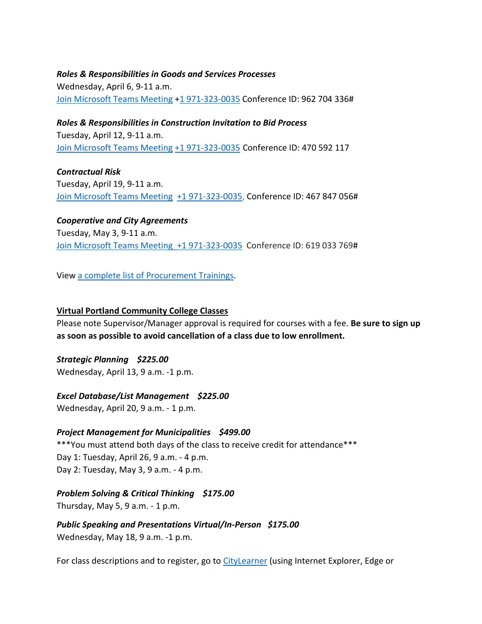#### *Roles & Responsibilities in Goods and Services Processes*

Wednesday, April 6, 9-11 a.m. [Join Microsoft Teams Meeting](https://teams.microsoft.com/l/meetup-join/19%3ameeting_NTA0NzYwY2ItNTU1MS00MTA0LWE1ZWItZjZlODdmOTJmZmMw%40thread.v2/0?context=%7b%22Tid%22%3a%22636d7808-73c9-41a7-97aa-8c4733642141%22%2c%22Oid%22%3a%2286b2ae6e-2fe6-44ca-9974-4b60b2e2cd99%22%7d) [+1 971-323-0035](tel:+19713230035,,962704336) Conference ID: 962 704 336#

*Roles & Responsibilities in Construction Invitation to Bid Process* Tuesday, April 12, 9-11 a.m. [Join Microsoft Teams Meeting](https://teams.microsoft.com/l/meetup-join/19%3ameeting_ZTQzMjRmNzUtYjc3Yi00YzM4LTlmYjEtOGIyNWYzMWVhODZi%40thread.v2/0?context=%7b%22Tid%22%3a%22636d7808-73c9-41a7-97aa-8c4733642141%22%2c%22Oid%22%3a%2286b2ae6e-2fe6-44ca-9974-4b60b2e2cd99%22%7d) [+1 971-323-0035](tel:+19713230035,,470592117) Conference ID: 470 592 117

*Contractual Risk* Tuesday, April 19, 9-11 a.m. [Join Microsoft Teams Meeting](https://teams.microsoft.com/l/meetup-join/19%3ameeting_ZjhkNmE5Y2EtODgyZS00NGQ4LTkxZGEtMDY1ZTE4YzdlYmZh%40thread.v2/0?context=%7b%22Tid%22%3a%22636d7808-73c9-41a7-97aa-8c4733642141%22%2c%22Oid%22%3a%2286b2ae6e-2fe6-44ca-9974-4b60b2e2cd99%22%7d) [+1 971-323-0035,](tel:+19713230035,,467847056) Conference ID: 467 847 056#

*Cooperative and City Agreements*  Tuesday, May 3, 9-11 a.m. [Join Microsoft Teams Meeting](https://teams.microsoft.com/l/meetup-join/19%3ameeting_YTUwYjg0ODEtMTZiMS00ZmRlLThjODctZDE5NDdkNzg1ZTdh%40thread.v2/0?context=%7b%22Tid%22%3a%22636d7808-73c9-41a7-97aa-8c4733642141%22%2c%22Oid%22%3a%2286b2ae6e-2fe6-44ca-9974-4b60b2e2cd99%22%7d) [+1 971-323-0035](tel:+19713230035,,619033769) Conference ID: 619 033 769#

View [a complete list of Procurement Trainings.](https://www.portlandoregon.gov/brfs/article/780678)

#### **Virtual Portland Community College Classes**

Please note Supervisor/Manager approval is required for courses with a fee. **Be sure to sign up as soon as possible to avoid cancellation of a class due to low enrollment.**

*Strategic Planning \$225.00* Wednesday, April 13, 9 a.m. -1 p.m.

#### *Excel Database/List Management \$225.00*

Wednesday, April 20, 9 a.m. - 1 p.m.

#### *Project Management for Municipalities \$499.00*

\*\*\*You must attend both days of the class to receive credit for attendance\*\*\* Day 1: Tuesday, April 26, 9 a.m. - 4 p.m. Day 2: Tuesday, May 3, 9 a.m. - 4 p.m.

#### *Problem Solving & Critical Thinking \$175.00*

Thursday, May 5, 9 a.m. - 1 p.m.

*Public Speaking and Presentations Virtual/In-Person \$175.00*  Wednesday, May 18, 9 a.m. -1 p.m.

For class descriptions and to register, go to [CityLearner](https://www.portlandoregon.gov/sf) (using Internet Explorer, Edge or